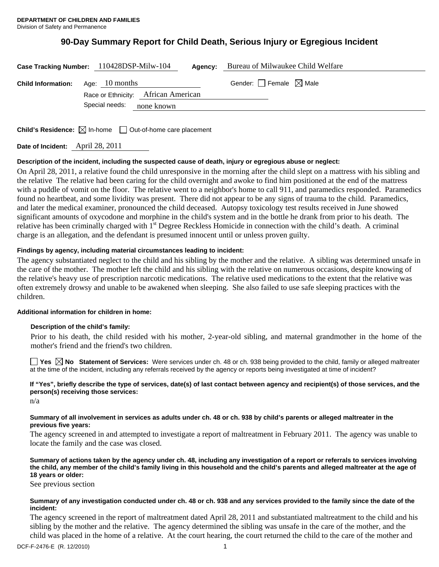# **90-Day Summary Report for Child Death, Serious Injury or Egregious Incident**

|                                            | Case Tracking Number: 110428DSP-Milw-104 | Agency: | Bureau of Milwaukee Child Welfare      |  |
|--------------------------------------------|------------------------------------------|---------|----------------------------------------|--|
| <b>Child Information:</b> Age: $10$ months | Race or Ethnicity: African American      |         | Gender: $\Box$ Female $\boxtimes$ Male |  |
|                                            | Special needs:<br>none known             |         |                                        |  |

**Child's Residence:**  $\boxtimes$  In-home  $\Box$  Out-of-home care placement

**Date of Incident:** April 28, 2011

# **Description of the incident, including the suspected cause of death, injury or egregious abuse or neglect:**

On April 28, 2011, a relative found the child unresponsive in the morning after the child slept on a mattress with his sibling and the relative The relative had been caring for the child overnight and awoke to find him positioned at the end of the mattress with a puddle of vomit on the floor. The relative went to a neighbor's home to call 911, and paramedics responded. Paramedics found no heartbeat, and some lividity was present. There did not appear to be any signs of trauma to the child. Paramedics, and later the medical examiner, pronounced the child deceased. Autopsy toxicology test results received in June showed significant amounts of oxycodone and morphine in the child's system and in the bottle he drank from prior to his death. The relative has been criminally charged with 1<sup>st</sup> Degree Reckless Homicide in connection with the child's death. A criminal charge is an allegation, and the defendant is presumed innocent until or unless proven guilty.

# **Findings by agency, including material circumstances leading to incident:**

The agency substantiated neglect to the child and his sibling by the mother and the relative. A sibling was determined unsafe in the care of the mother. The mother left the child and his sibling with the relative on numerous occasions, despite knowing of the relative's heavy use of prescription narcotic medications. The relative used medications to the extent that the relative was often extremely drowsy and unable to be awakened when sleeping. She also failed to use safe sleeping practices with the children.

# **Additional information for children in home:**

# **Description of the child's family:**

 Prior to his death, the child resided with his mother, 2-year-old sibling, and maternal grandmother in the home of the mother's friend and the friend's two children.

■ Yes **No** Statement of Services: Were services under ch. 48 or ch. 938 being provided to the child, family or alleged maltreater at the time of the incident, including any referrals received by the agency or reports being investigated at time of incident?

# **If "Yes", briefly describe the type of services, date(s) of last contact between agency and recipient(s) of those services, and the person(s) receiving those services:**

n/a

#### **Summary of all involvement in services as adults under ch. 48 or ch. 938 by child's parents or alleged maltreater in the previous five years:**

The agency screened in and attempted to investigate a report of maltreatment in February 2011. The agency was unable to locate the family and the case was closed.

**Summary of actions taken by the agency under ch. 48, including any investigation of a report or referrals to services involving the child, any member of the child's family living in this household and the child's parents and alleged maltreater at the age of 18 years or older:** 

See previous section

#### **Summary of any investigation conducted under ch. 48 or ch. 938 and any services provided to the family since the date of the incident:**

The agency screened in the report of maltreatment dated April 28, 2011 and substantiated maltreatment to the child and his sibling by the mother and the relative. The agency determined the sibling was unsafe in the care of the mother, and the child was placed in the home of a relative. At the court hearing, the court returned the child to the care of the mother and